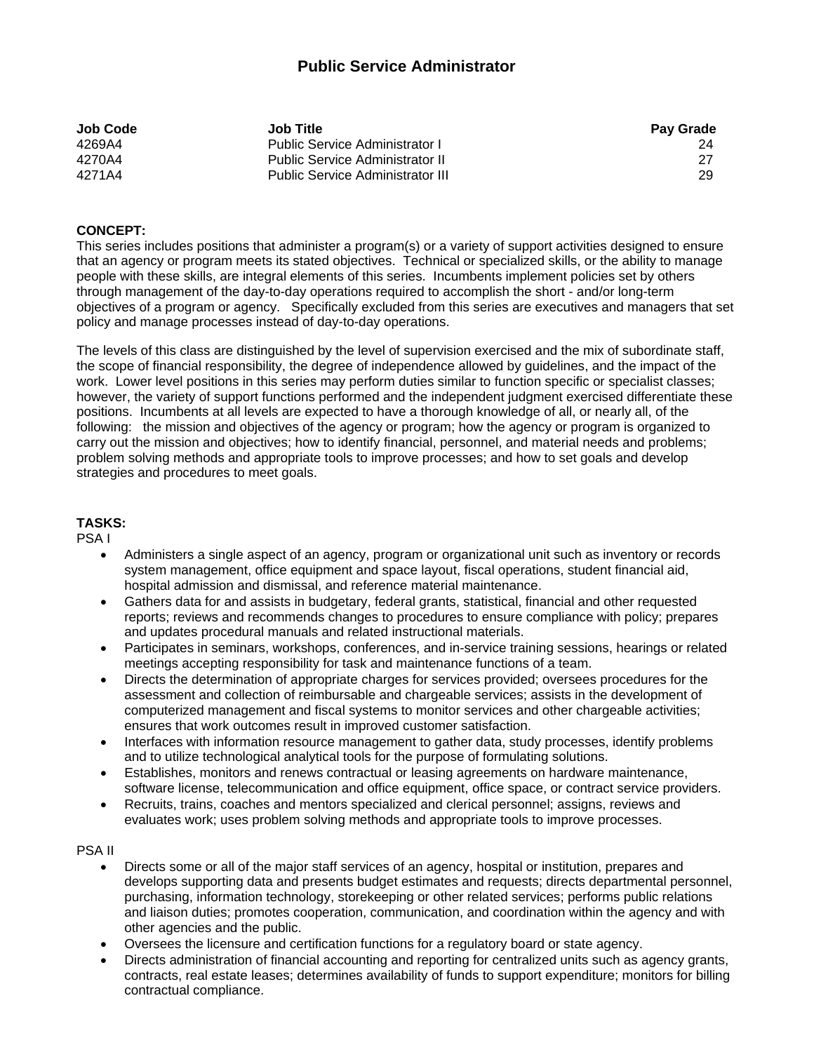# **Public Service Administrator**

| Job Code | <b>Job Title</b>                        | <b>Pay Grade</b> |
|----------|-----------------------------------------|------------------|
| 4269A4   | Public Service Administrator I          |                  |
| 4270A4   | <b>Public Service Administrator II</b>  | 27               |
| 4271A4   | <b>Public Service Administrator III</b> | 29               |

### **CONCEPT:**

This series includes positions that administer a program(s) or a variety of support activities designed to ensure that an agency or program meets its stated objectives. Technical or specialized skills, or the ability to manage people with these skills, are integral elements of this series. Incumbents implement policies set by others through management of the day-to-day operations required to accomplish the short - and/or long-term objectives of a program or agency. Specifically excluded from this series are executives and managers that set policy and manage processes instead of day-to-day operations.

The levels of this class are distinguished by the level of supervision exercised and the mix of subordinate staff, the scope of financial responsibility, the degree of independence allowed by guidelines, and the impact of the work. Lower level positions in this series may perform duties similar to function specific or specialist classes; however, the variety of support functions performed and the independent judgment exercised differentiate these positions. Incumbents at all levels are expected to have a thorough knowledge of all, or nearly all, of the following: the mission and objectives of the agency or program; how the agency or program is organized to carry out the mission and objectives; how to identify financial, personnel, and material needs and problems; problem solving methods and appropriate tools to improve processes; and how to set goals and develop strategies and procedures to meet goals.

#### **TASKS:**

PSA I

- Administers a single aspect of an agency, program or organizational unit such as inventory or records system management, office equipment and space layout, fiscal operations, student financial aid, hospital admission and dismissal, and reference material maintenance.
- Gathers data for and assists in budgetary, federal grants, statistical, financial and other requested reports; reviews and recommends changes to procedures to ensure compliance with policy; prepares and updates procedural manuals and related instructional materials.
- Participates in seminars, workshops, conferences, and in-service training sessions, hearings or related meetings accepting responsibility for task and maintenance functions of a team.
- Directs the determination of appropriate charges for services provided; oversees procedures for the assessment and collection of reimbursable and chargeable services; assists in the development of computerized management and fiscal systems to monitor services and other chargeable activities; ensures that work outcomes result in improved customer satisfaction.
- Interfaces with information resource management to gather data, study processes, identify problems and to utilize technological analytical tools for the purpose of formulating solutions.
- Establishes, monitors and renews contractual or leasing agreements on hardware maintenance, software license, telecommunication and office equipment, office space, or contract service providers.
- Recruits, trains, coaches and mentors specialized and clerical personnel; assigns, reviews and evaluates work; uses problem solving methods and appropriate tools to improve processes.

# PSA II

- Directs some or all of the major staff services of an agency, hospital or institution, prepares and develops supporting data and presents budget estimates and requests; directs departmental personnel, purchasing, information technology, storekeeping or other related services; performs public relations and liaison duties; promotes cooperation, communication, and coordination within the agency and with other agencies and the public.
- Oversees the licensure and certification functions for a regulatory board or state agency.
- Directs administration of financial accounting and reporting for centralized units such as agency grants, contracts, real estate leases; determines availability of funds to support expenditure; monitors for billing contractual compliance.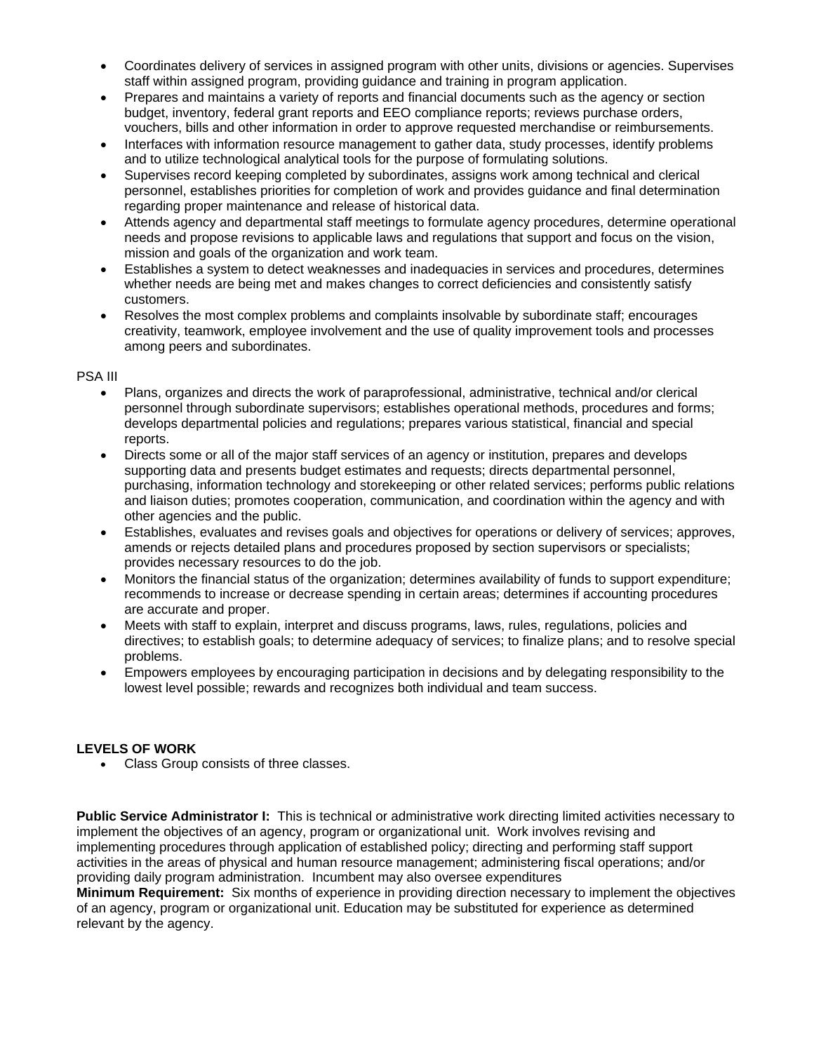- Coordinates delivery of services in assigned program with other units, divisions or agencies. Supervises staff within assigned program, providing guidance and training in program application.
- Prepares and maintains a variety of reports and financial documents such as the agency or section budget, inventory, federal grant reports and EEO compliance reports; reviews purchase orders, vouchers, bills and other information in order to approve requested merchandise or reimbursements.
- Interfaces with information resource management to gather data, study processes, identify problems and to utilize technological analytical tools for the purpose of formulating solutions.
- Supervises record keeping completed by subordinates, assigns work among technical and clerical personnel, establishes priorities for completion of work and provides guidance and final determination regarding proper maintenance and release of historical data.
- Attends agency and departmental staff meetings to formulate agency procedures, determine operational needs and propose revisions to applicable laws and regulations that support and focus on the vision, mission and goals of the organization and work team.
- Establishes a system to detect weaknesses and inadequacies in services and procedures, determines whether needs are being met and makes changes to correct deficiencies and consistently satisfy customers.
- Resolves the most complex problems and complaints insolvable by subordinate staff; encourages creativity, teamwork, employee involvement and the use of quality improvement tools and processes among peers and subordinates.

#### PSA III

- Plans, organizes and directs the work of paraprofessional, administrative, technical and/or clerical personnel through subordinate supervisors; establishes operational methods, procedures and forms; develops departmental policies and regulations; prepares various statistical, financial and special reports.
- Directs some or all of the major staff services of an agency or institution, prepares and develops supporting data and presents budget estimates and requests; directs departmental personnel, purchasing, information technology and storekeeping or other related services; performs public relations and liaison duties; promotes cooperation, communication, and coordination within the agency and with other agencies and the public.
- Establishes, evaluates and revises goals and objectives for operations or delivery of services; approves, amends or rejects detailed plans and procedures proposed by section supervisors or specialists; provides necessary resources to do the job.
- Monitors the financial status of the organization; determines availability of funds to support expenditure; recommends to increase or decrease spending in certain areas; determines if accounting procedures are accurate and proper.
- Meets with staff to explain, interpret and discuss programs, laws, rules, regulations, policies and directives; to establish goals; to determine adequacy of services; to finalize plans; and to resolve special problems.
- Empowers employees by encouraging participation in decisions and by delegating responsibility to the lowest level possible; rewards and recognizes both individual and team success.

# **LEVELS OF WORK**

• Class Group consists of three classes.

**Public Service Administrator I:** This is technical or administrative work directing limited activities necessary to implement the objectives of an agency, program or organizational unit. Work involves revising and implementing procedures through application of established policy; directing and performing staff support activities in the areas of physical and human resource management; administering fiscal operations; and/or providing daily program administration. Incumbent may also oversee expenditures

**Minimum Requirement:** Six months of experience in providing direction necessary to implement the objectives of an agency, program or organizational unit. Education may be substituted for experience as determined relevant by the agency.